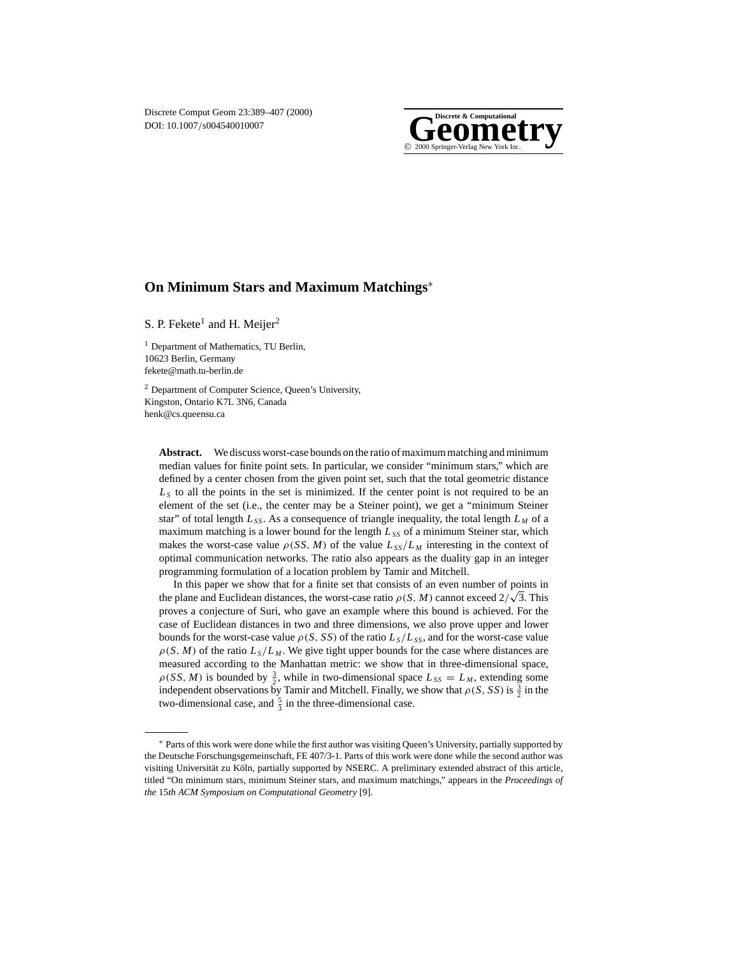

# **On Minimum Stars and Maximum Matchings**<sup>∗</sup>

S. P. Fekete<sup>1</sup> and H. Meijer<sup>2</sup>

<sup>1</sup> Department of Mathematics, TU Berlin, 10623 Berlin, Germany fekete@math.tu-berlin.de

<sup>2</sup> Department of Computer Science, Queen's University, Kingston, Ontario K7L 3N6, Canada henk@cs.queensu.ca

**Abstract.** We discuss worst-case bounds on the ratio of maximum matching and minimum median values for finite point sets. In particular, we consider "minimum stars," which are defined by a center chosen from the given point set, such that the total geometric distance  $L<sub>S</sub>$  to all the points in the set is minimized. If the center point is not required to be an element of the set (i.e., the center may be a Steiner point), we get a "minimum Steiner star" of total length  $L_{SS}$ . As a consequence of triangle inequality, the total length  $L_M$  of a maximum matching is a lower bound for the length  $L_{SS}$  of a minimum Steiner star, which makes the worst-case value  $\rho(SS, M)$  of the value  $L_{SS}/L_M$  interesting in the context of optimal communication networks. The ratio also appears as the duality gap in an integer programming formulation of a location problem by Tamir and Mitchell.

In this paper we show that for a finite set that consists of an even number of points in In this paper we show that for a finite set that consists of an even number of points in<br>the plane and Euclidean distances, the worst-case ratio  $\rho(S, M)$  cannot exceed  $2/\sqrt{3}$ . This proves a conjecture of Suri, who gave an example where this bound is achieved. For the case of Euclidean distances in two and three dimensions, we also prove upper and lower bounds for the worst-case value  $\rho(S, SS)$  of the ratio  $L_S/L_{SS}$ , and for the worst-case value  $\rho(S, M)$  of the ratio  $L_S/L_M$ . We give tight upper bounds for the case where distances are measured according to the Manhattan metric: we show that in three-dimensional space,  $\rho$ (*SS*, *M*) is bounded by  $\frac{3}{2}$ , while in two-dimensional space  $L_{SS} = L_M$ , extending some independent observations by Tamir and Mitchell. Finally, we show that  $\rho(S, SS)$  is  $\frac{3}{2}$  in the two-dimensional case, and  $\frac{5}{3}$  in the three-dimensional case.

<sup>∗</sup> Parts of this work were done while the first author was visiting Queen's University, partially supported by the Deutsche Forschungsgemeinschaft, FE 407/3-1. Parts of this work were done while the second author was visiting Universität zu Köln, partially supported by NSERC. A preliminary extended abstract of this article, titled "On minimum stars, minimum Steiner stars, and maximum matchings," appears in the *Proceedings of the* 15*th ACM Symposium on Computational Geometry* [9].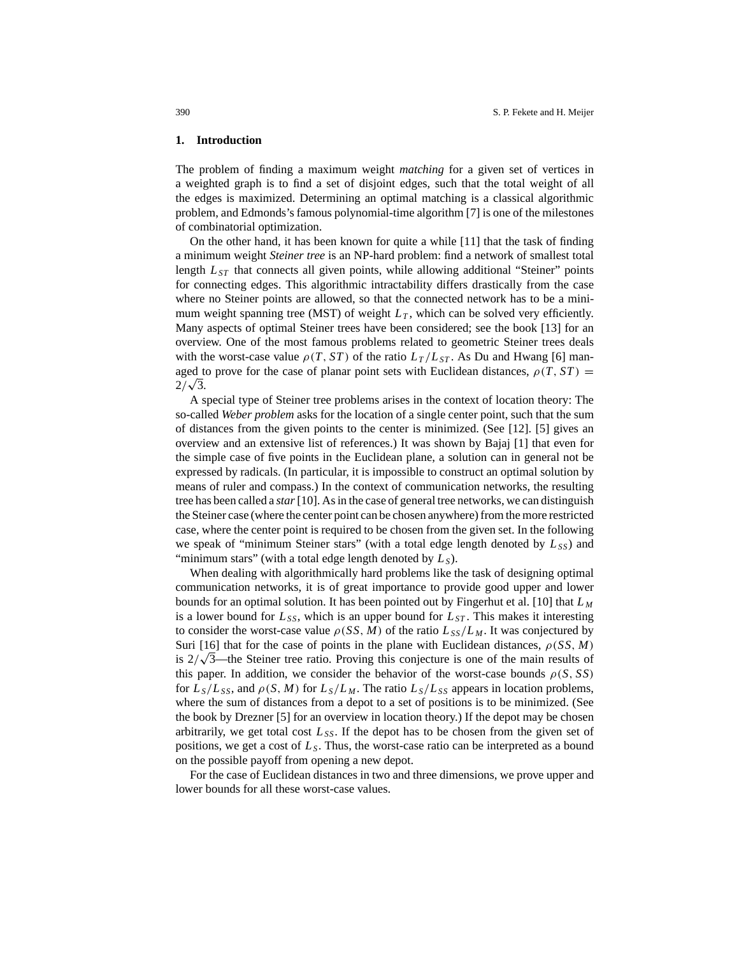#### **1. Introduction**

The problem of finding a maximum weight *matching* for a given set of vertices in a weighted graph is to find a set of disjoint edges, such that the total weight of all the edges is maximized. Determining an optimal matching is a classical algorithmic problem, and Edmonds's famous polynomial-time algorithm [7] is one of the milestones of combinatorial optimization.

On the other hand, it has been known for quite a while [11] that the task of finding a minimum weight *Steiner tree* is an NP-hard problem: find a network of smallest total length  $L_{ST}$  that connects all given points, while allowing additional "Steiner" points for connecting edges. This algorithmic intractability differs drastically from the case where no Steiner points are allowed, so that the connected network has to be a minimum weight spanning tree (MST) of weight  $L<sub>T</sub>$ , which can be solved very efficiently. Many aspects of optimal Steiner trees have been considered; see the book [13] for an overview. One of the most famous problems related to geometric Steiner trees deals with the worst-case value  $\rho(T, ST)$  of the ratio  $L_T/L_{ST}$ . As Du and Hwang [6] managed to prove for the case of planar point sets with Euclidean distances,  $\rho(T, ST)$  = agea t<br>2/√3.

A special type of Steiner tree problems arises in the context of location theory: The so-called *Weber problem* asks for the location of a single center point, such that the sum of distances from the given points to the center is minimized. (See [12]. [5] gives an overview and an extensive list of references.) It was shown by Bajaj [1] that even for the simple case of five points in the Euclidean plane, a solution can in general not be expressed by radicals. (In particular, it is impossible to construct an optimal solution by means of ruler and compass.) In the context of communication networks, the resulting tree has been called a *star*[10]. As in the case of general tree networks, we can distinguish the Steiner case (where the center point can be chosen anywhere) from the more restricted case, where the center point is required to be chosen from the given set. In the following we speak of "minimum Steiner stars" (with a total edge length denoted by  $L_{SS}$ ) and "minimum stars" (with a total edge length denoted by  $L_s$ ).

When dealing with algorithmically hard problems like the task of designing optimal communication networks, it is of great importance to provide good upper and lower bounds for an optimal solution. It has been pointed out by Fingerhut et al. [10] that *L <sup>M</sup>* is a lower bound for  $L_{SS}$ , which is an upper bound for  $L_{ST}$ . This makes it interesting to consider the worst-case value  $\rho(SS, M)$  of the ratio  $L_{SS}/L_M$ . It was conjectured by Suri [16] that for the case of points in the plane with Euclidean distances,  $\rho(SS, M)$ Surf [16] that for the case of points in the plane with Euclidean distances,  $\rho$ (SS, M) is  $2/\sqrt{3}$ —the Steiner tree ratio. Proving this conjecture is one of the main results of this paper. In addition, we consider the behavior of the worst-case bounds  $\rho(S, SS)$ for  $L_S/L_{SS}$ , and  $\rho(S, M)$  for  $L_S/L_M$ . The ratio  $L_S/L_{SS}$  appears in location problems, where the sum of distances from a depot to a set of positions is to be minimized. (See the book by Drezner [5] for an overview in location theory.) If the depot may be chosen arbitrarily, we get total cost  $L_{SS}$ . If the depot has to be chosen from the given set of positions, we get a cost of  $L<sub>S</sub>$ . Thus, the worst-case ratio can be interpreted as a bound on the possible payoff from opening a new depot.

For the case of Euclidean distances in two and three dimensions, we prove upper and lower bounds for all these worst-case values.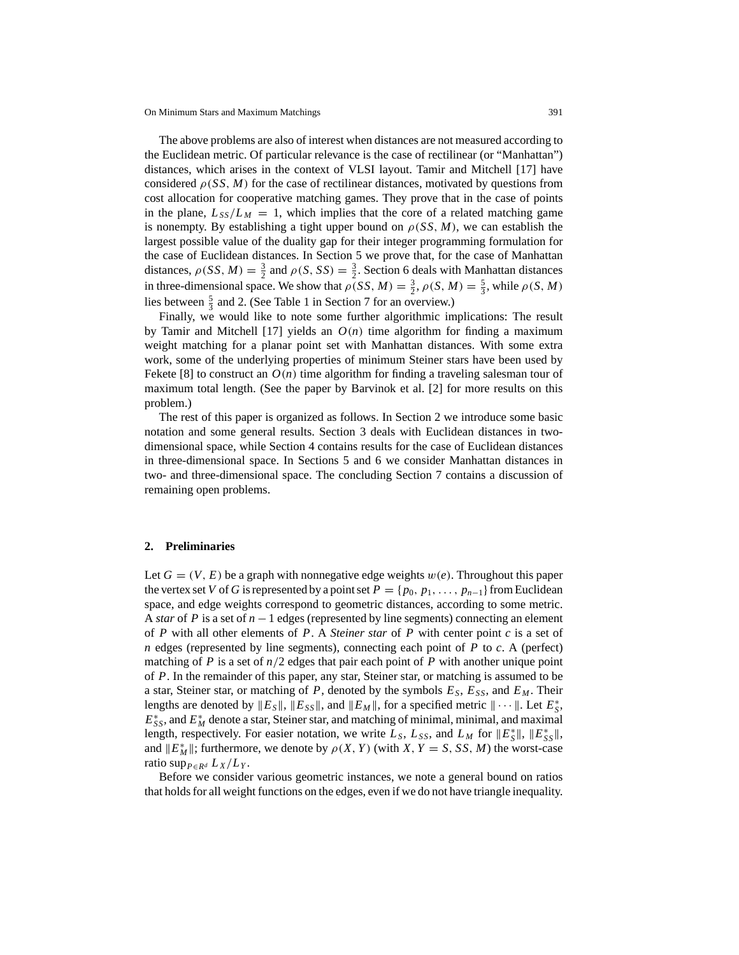The above problems are also of interest when distances are not measured according to the Euclidean metric. Of particular relevance is the case of rectilinear (or "Manhattan") distances, which arises in the context of VLSI layout. Tamir and Mitchell [17] have considered  $\rho(SS, M)$  for the case of rectilinear distances, motivated by questions from cost allocation for cooperative matching games. They prove that in the case of points in the plane,  $L_{SS}/L_M = 1$ , which implies that the core of a related matching game is nonempty. By establishing a tight upper bound on  $\rho$  (*SS*, *M*), we can establish the largest possible value of the duality gap for their integer programming formulation for the case of Euclidean distances. In Section 5 we prove that, for the case of Manhattan distances,  $\rho(SS, M) = \frac{3}{2}$  and  $\rho(S, SS) = \frac{3}{2}$ . Section 6 deals with Manhattan distances in three-dimensional space. We show that  $\rho(SS, M) = \frac{3}{2}$ ,  $\rho(S, M) = \frac{5}{3}$ , while  $\rho(S, M)$ lies between  $\frac{5}{3}$  and 2. (See Table 1 in Section 7 for an overview.)

Finally, we would like to note some further algorithmic implications: The result by Tamir and Mitchell [17] yields an  $O(n)$  time algorithm for finding a maximum weight matching for a planar point set with Manhattan distances. With some extra work, some of the underlying properties of minimum Steiner stars have been used by Fekete [8] to construct an  $O(n)$  time algorithm for finding a traveling salesman tour of maximum total length. (See the paper by Barvinok et al. [2] for more results on this problem.)

The rest of this paper is organized as follows. In Section 2 we introduce some basic notation and some general results. Section 3 deals with Euclidean distances in twodimensional space, while Section 4 contains results for the case of Euclidean distances in three-dimensional space. In Sections 5 and 6 we consider Manhattan distances in two- and three-dimensional space. The concluding Section 7 contains a discussion of remaining open problems.

#### **2. Preliminaries**

Let  $G = (V, E)$  be a graph with nonnegative edge weights  $w(e)$ . Throughout this paper the vertex set *V* of *G* is represented by a point set  $P = \{p_0, p_1, \ldots, p_{n-1}\}$  from Euclidean space, and edge weights correspond to geometric distances, according to some metric. A *star* of *P* is a set of *n* −1 edges (represented by line segments) connecting an element of *P* with all other elements of *P*. A *Steiner star* of *P* with center point *c* is a set of *n* edges (represented by line segments), connecting each point of *P* to *c*. A (perfect) matching of *P* is a set of  $n/2$  edges that pair each point of *P* with another unique point of *P*. In the remainder of this paper, any star, Steiner star, or matching is assumed to be a star, Steiner star, or matching of *P*, denoted by the symbols *ES*, *ESS*, and *EM* . Their lengths are denoted by  $||E_S||$ ,  $||E_{SS}||$ , and  $||E_M||$ , for a specified metric  $|| \cdots ||$ . Let  $E_S^*$ ,  $E_{SS}^*$ , and  $E_M^*$  denote a star, Steiner star, and matching of minimal, minimal, and maximal length, respectively. For easier notation, we write  $L_S$ ,  $L_{SS}$ , and  $L_M$  for  $||E^*_S||$ ,  $||E^*_S||$ , and  $||E^*_{M}||$ ; furthermore, we denote by  $\rho(X, Y)$  (with *X*, *Y* = *S*, *SS*, *M*) the worst-case ratio sup<sub>*P*∈*Rd*</sub>  $L_X/L_Y$ .

Before we consider various geometric instances, we note a general bound on ratios that holds for all weight functions on the edges, even if we do not have triangle inequality.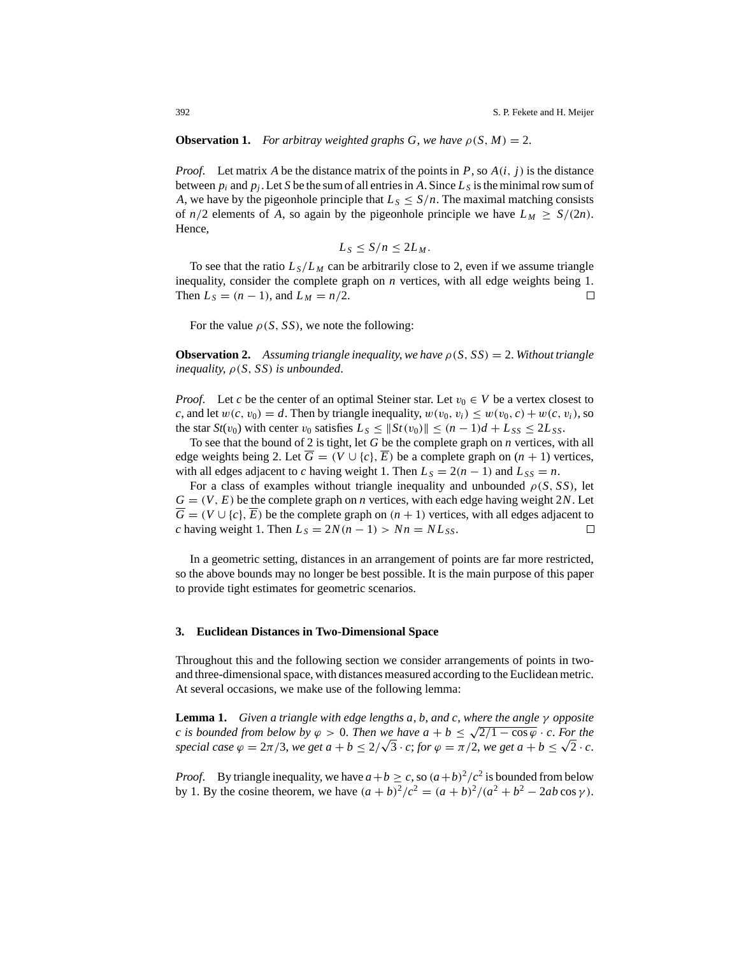# **Observation 1.** *For arbitray weighted graphs G, we have*  $\rho(S, M) = 2$ .

*Proof.* Let matrix *A* be the distance matrix of the points in *P*, so  $A(i, j)$  is the distance between  $p_i$  and  $p_j$ . Let *S* be the sum of all entries in *A*. Since  $L_s$  is the minimal row sum of *A*, we have by the pigeonhole principle that  $L_S \leq S/n$ . The maximal matching consists of  $n/2$  elements of A, so again by the pigeonhole principle we have  $L_M \geq S/(2n)$ . Hence,

$$
L_S \leq S/n \leq 2L_M.
$$

To see that the ratio  $L_s/L_M$  can be arbitrarily close to 2, even if we assume triangle inequality, consider the complete graph on *n* vertices, with all edge weights being 1. Then  $L_S = (n - 1)$ , and  $L_M = n/2$ . □

For the value  $\rho(S, SS)$ , we note the following:

**Observation 2.** Assuming triangle inequality, we have  $\rho(S, SS) = 2$ . Without triangle *inequality*, ρ(*S*, *SS*) *is unbounded*.

*Proof.* Let *c* be the center of an optimal Steiner star. Let  $v_0 \in V$  be a vertex closest to *c*, and let  $w(c, v_0) = d$ . Then by triangle inequality,  $w(v_0, v_i) \leq w(v_0, c) + w(c, v_i)$ , so the star  $St(v_0)$  with center  $v_0$  satisfies  $L_s \leq ||St(v_0)|| \leq (n-1)d + L_{SS} \leq 2L_{SS}$ .

To see that the bound of 2 is tight, let *G* be the complete graph on *n* vertices, with all edge weights being 2. Let  $\overline{G} = (V \cup \{c\}, \overline{E})$  be a complete graph on  $(n + 1)$  vertices, with all edges adjacent to *c* having weight 1. Then  $L_S = 2(n - 1)$  and  $L_{SS} = n$ .

For a class of examples without triangle inequality and unbounded  $\rho(S, SS)$ , let  $G = (V, E)$  be the complete graph on *n* vertices, with each edge having weight 2*N*. Let  $\overline{G} = (V \cup \{c\}, \overline{E})$  be the complete graph on  $(n + 1)$  vertices, with all edges adjacent to *c* having weight 1. Then  $L_S = 2N(n - 1) > Nn = NL_{SS}$ . □

In a geometric setting, distances in an arrangement of points are far more restricted, so the above bounds may no longer be best possible. It is the main purpose of this paper to provide tight estimates for geometric scenarios.

#### **3. Euclidean Distances in Two-Dimensional Space**

Throughout this and the following section we consider arrangements of points in twoand three-dimensional space, with distances measured according to the Euclidean metric. At several occasions, we make use of the following lemma:

**Lemma 1.** *Given a triangle with edge lengths a*, *b*, *and c*, *where the angle* γ *opposite c* is bounded from below by  $\varphi > 0$ . Then we have  $a + b \leq \sqrt{2/1 - \cos \varphi} \cdot c$ . For the *s s sounded from below by*  $\varphi > 0$ *. Then we have*  $a + b \leq \sqrt{2}/1 - \cos \varphi \cdot c$ *. For the special case*  $\varphi = 2\pi/3$ *, we get*  $a + b \leq 2/\sqrt{3} \cdot c$ *; for*  $\varphi = \pi/2$ *, we get*  $a + b \leq \sqrt{2} \cdot c$ *.* 

*Proof.* By triangle inequality, we have  $a + b \ge c$ , so  $(a+b)^2/c^2$  is bounded from below by 1. By the cosine theorem, we have  $(a + b)^2/c^2 = (a + b)^2/(a^2 + b^2 - 2ab \cos γ)$ .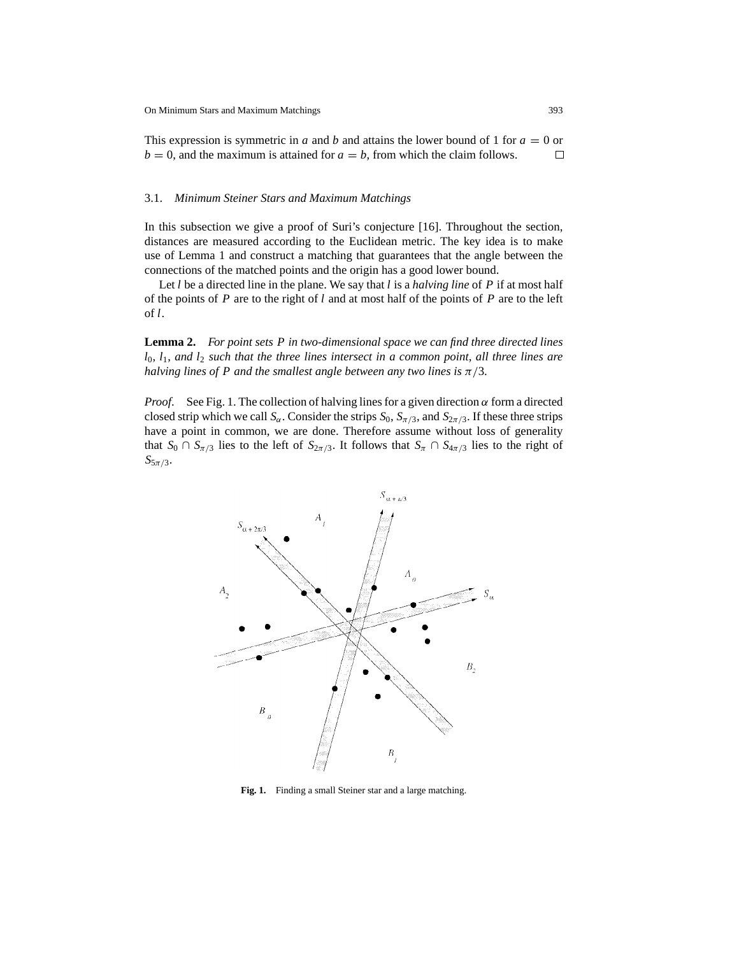This expression is symmetric in *a* and *b* and attains the lower bound of 1 for *a* = 0 or  $b = 0$ , and the maximum is attained for  $a = b$ , from which the claim follows. □

#### 3.1. *Minimum Steiner Stars and Maximum Matchings*

In this subsection we give a proof of Suri's conjecture [16]. Throughout the section, distances are measured according to the Euclidean metric. The key idea is to make use of Lemma 1 and construct a matching that guarantees that the angle between the connections of the matched points and the origin has a good lower bound.

Let *l* be a directed line in the plane. We say that *l* is a *halving line* of *P* if at most half of the points of *P* are to the right of *l* and at most half of the points of *P* are to the left of *l*.

**Lemma 2.** *For point sets P in two-dimensional space we can find three directed lines l*0, *l*1, *and l*<sup>2</sup> *such that the three lines intersect in a common point*, *all three lines are halving lines of P and the smallest angle between any two lines is*  $\pi/3$ .

*Proof.* See Fig. 1. The collection of halving lines for a given direction  $\alpha$  form a directed closed strip which we call  $S_\alpha$ . Consider the strips  $S_0$ ,  $S_{\pi/3}$ , and  $S_{2\pi/3}$ . If these three strips have a point in common, we are done. Therefore assume without loss of generality that  $S_0 \cap S_{\pi/3}$  lies to the left of  $S_{2\pi/3}$ . It follows that  $S_{\pi} \cap S_{4\pi/3}$  lies to the right of  $S_{5\pi/3}$ .



**Fig. 1.** Finding a small Steiner star and a large matching.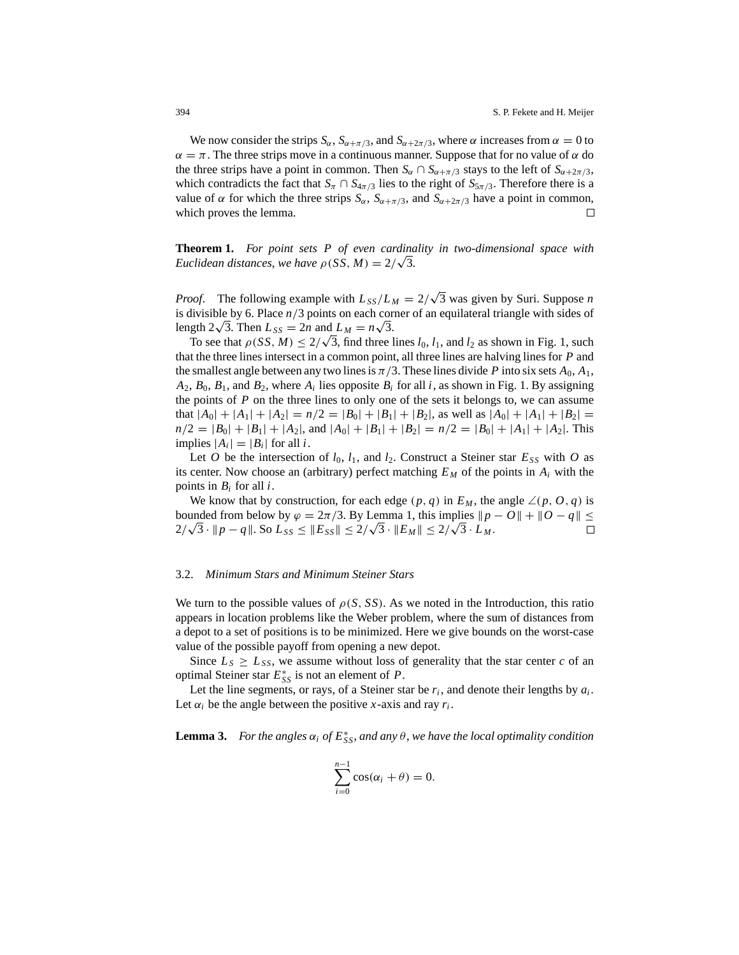We now consider the strips  $S_\alpha$ ,  $S_{\alpha+\pi/3}$ , and  $S_{\alpha+2\pi/3}$ , where  $\alpha$  increases from  $\alpha = 0$  to  $\alpha = \pi$ . The three strips move in a continuous manner. Suppose that for no value of  $\alpha$  do the three strips have a point in common. Then  $S_\alpha \cap S_{\alpha+\pi/3}$  stays to the left of  $S_{\alpha+2\pi/3}$ , which contradicts the fact that  $S_\pi \cap S_{4\pi/3}$  lies to the right of  $S_{5\pi/3}$ . Therefore there is a value of  $\alpha$  for which the three strips  $S_{\alpha}$ ,  $S_{\alpha+\pi/3}$ , and  $S_{\alpha+2\pi/3}$  have a point in common, which proves the lemma. □

**Theorem 1.** *For point sets P of even cardinality in two-dimensional space with* **Euclidean distances, we have**  $\rho$ (SS, M) =  $2/\sqrt{3}$ .

*Proof.* The following example with  $L_{SS}/L_M = 2/\sqrt{3}$  was given by Suri. Suppose *n* is divisible by 6. Place *n*/3 points on each corner of an equilateral triangle with sides of length  $2\sqrt{3}$ . Then  $L_{SS} = 2n$  and  $L_M = n\sqrt{3}$ .

gth  $2\sqrt{3}$ . Then  $L_{SS} = 2n$  and  $L_M = n\sqrt{3}$ .<br>To see that  $\rho(SS, M) \leq 2/\sqrt{3}$ , find three lines  $l_0, l_1$ , and  $l_2$  as shown in Fig. 1, such that the three lines intersect in a common point, all three lines are halving lines for *P* and the smallest angle between any two lines is  $\pi/3$ . These lines divide *P* into six sets  $A_0$ ,  $A_1$ ,  $A_2$ ,  $B_0$ ,  $B_1$ , and  $B_2$ , where  $A_i$  lies opposite  $B_i$  for all *i*, as shown in Fig. 1. By assigning the points of *P* on the three lines to only one of the sets it belongs to, we can assume that  $|A_0| + |A_1| + |A_2| = n/2 = |B_0| + |B_1| + |B_2|$ , as well as  $|A_0| + |A_1| + |B_2| =$  $n/2 = |B_0| + |B_1| + |A_2|$ , and  $|A_0| + |B_1| + |B_2| = n/2 = |B_0| + |A_1| + |A_2|$ . This implies  $|A_i|=|B_i|$  for all *i*.

Let *O* be the intersection of  $l_0$ ,  $l_1$ , and  $l_2$ . Construct a Steiner star  $E_{SS}$  with *O* as its center. Now choose an (arbitrary) perfect matching  $E_M$  of the points in  $A_i$  with the points in *Bi* for all *i*.

We know that by construction, for each edge  $(p, q)$  in  $E_M$ , the angle  $\angle(p, 0, q)$  is bounded from below by  $\varphi = 2\pi/3$ . By Lemma 1, this implies  $\|p - \theta\| + \|0 - q\| \le$ bounded from below by  $\varphi = 2\pi/3$ . By Lemma 1, this implies  $||p||^2$ <br> $2/\sqrt{3} \cdot ||p - q||$ . So  $L_{SS} \le ||E_{SS}|| \le 2/\sqrt{3} \cdot ||E_M|| \le 2/\sqrt{3} \cdot L_M$ . П

## 3.2. *Minimum Stars and Minimum Steiner Stars*

We turn to the possible values of  $\rho(S, SS)$ . As we noted in the Introduction, this ratio appears in location problems like the Weber problem, where the sum of distances from a depot to a set of positions is to be minimized. Here we give bounds on the worst-case value of the possible payoff from opening a new depot.

Since  $L_s \geq L_{SS}$ , we assume without loss of generality that the star center *c* of an optimal Steiner star  $E_{SS}^*$  is not an element of *P*.

Let the line segments, or rays, of a Steiner star be  $r_i$ , and denote their lengths by  $a_i$ . Let  $\alpha_i$  be the angle between the positive *x*-axis and ray  $r_i$ .

**Lemma 3.** *For the angles*  $\alpha_i$  *of*  $E_{SS}^*$ , *and any*  $\theta$ , *we have the local optimality condition* 

$$
\sum_{i=0}^{n-1} \cos(\alpha_i + \theta) = 0.
$$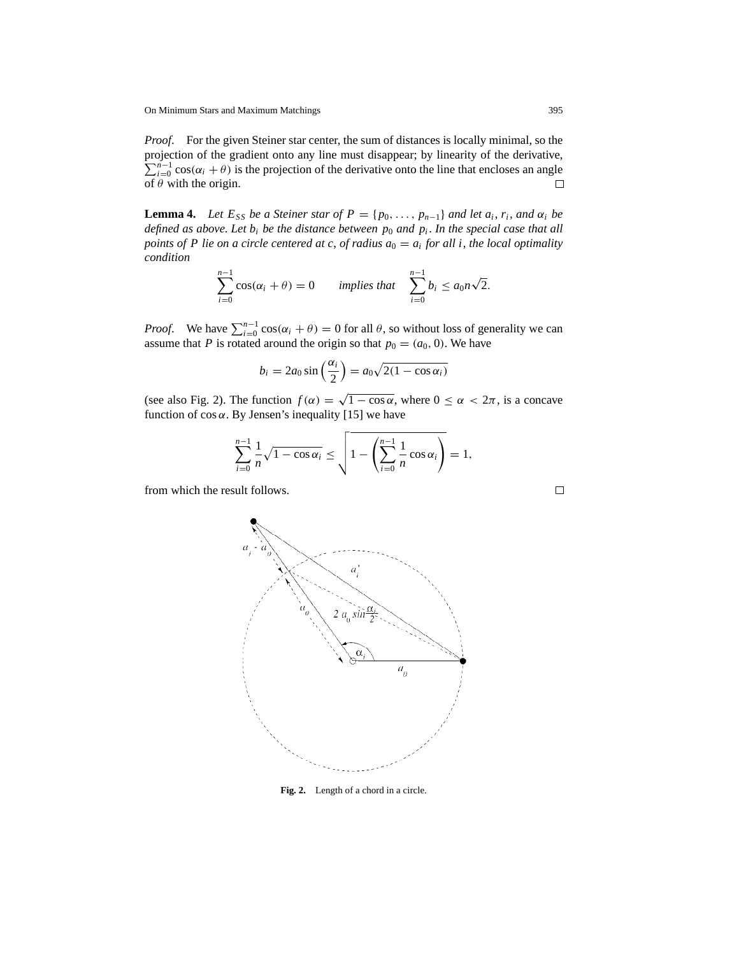*Proof*. For the given Steiner star center, the sum of distances is locally minimal, so the projection of the gradient onto any line must disappear; by linearity of the derivative,  $\sum_{i=0}^{n-1}$  cos( $\alpha_i + \theta$ ) is the projection of the derivative onto the line that encloses an angle of  $\theta$  with the origin. □

**Lemma 4.** *Let*  $E_{SS}$  *be a Steiner star of*  $P = \{p_0, \ldots, p_{n-1}\}$  *and let*  $a_i, r_i$ *, and*  $\alpha_i$  *be defined as above. Let*  $b_i$  *be the distance between*  $p_0$  *and*  $p_i$ *. In the special case that all points of P lie on a circle centered at c, of radius*  $a_0 = a_i$  *for all i, the local optimality condition*

$$
\sum_{i=0}^{n-1} \cos(\alpha_i + \theta) = 0 \quad \text{implies that} \quad \sum_{i=0}^{n-1} b_i \le a_0 n \sqrt{2}.
$$

*Proof.* We have  $\sum_{i=0}^{n-1} \cos(\alpha_i + \theta) = 0$  for all  $\theta$ , so without loss of generality we can assume that *P* is rotated around the origin so that  $p_0 = (a_0, 0)$ . We have

$$
b_i = 2a_0 \sin\left(\frac{\alpha_i}{2}\right) = a_0 \sqrt{2(1 - \cos \alpha_i)}
$$

(see also Fig. 2). The function  $f(\alpha) = \sqrt{1 - \cos \alpha}$ , where  $0 \le \alpha < 2\pi$ , is a concave function of  $\cos \alpha$ . By Jensen's inequality [15] we have

$$
\sum_{i=0}^{n-1} \frac{1}{n} \sqrt{1 - \cos \alpha_i} \le \sqrt{1 - \left(\sum_{i=0}^{n-1} \frac{1}{n} \cos \alpha_i\right)} = 1,
$$

from which the result follows.



**Fig. 2.** Length of a chord in a circle.

 $\Box$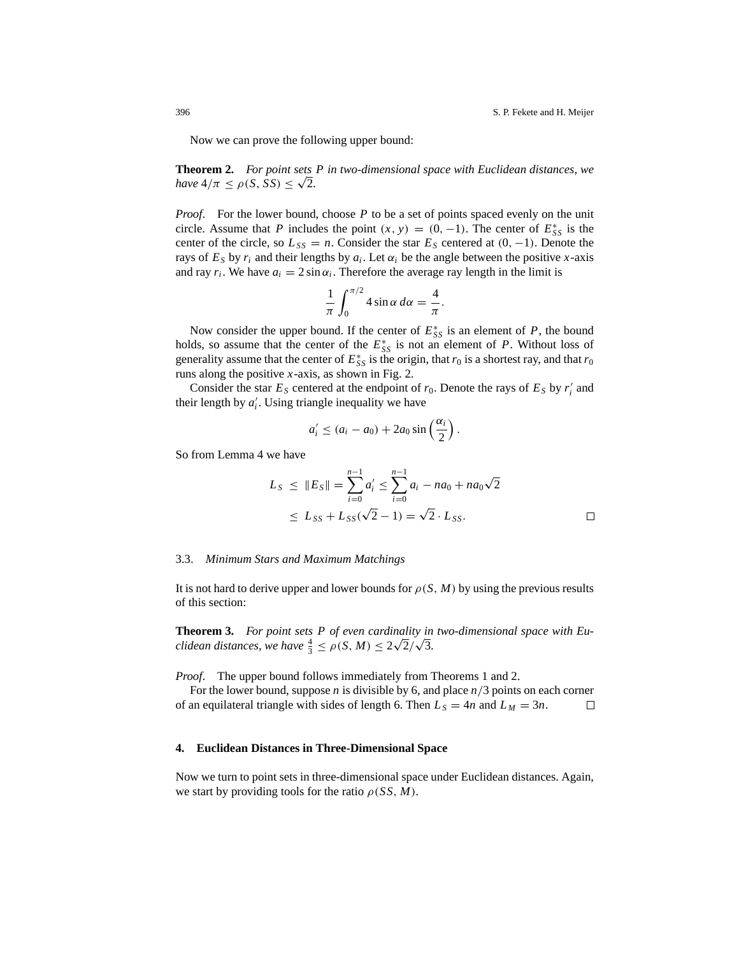Now we can prove the following upper bound:

**Theorem 2.** *For point sets P in two-dimensional space with Euclidean distances*, *we have*  $4/\pi \leq \rho(S, SS) \leq \sqrt{2}$ .

*Proof.* For the lower bound, choose P to be a set of points spaced evenly on the unit circle. Assume that *P* includes the point  $(x, y) = (0, -1)$ . The center of  $E_{SS}^*$  is the center of the circle, so  $L_{SS} = n$ . Consider the star  $E_S$  centered at  $(0, -1)$ . Denote the rays of  $E<sub>S</sub>$  by  $r<sub>i</sub>$  and their lengths by  $a<sub>i</sub>$ . Let  $\alpha<sub>i</sub>$  be the angle between the positive *x*-axis and ray  $r_i$ . We have  $a_i = 2 \sin \alpha_i$ . Therefore the average ray length in the limit is

$$
\frac{1}{\pi} \int_0^{\pi/2} 4 \sin \alpha \, d\alpha = \frac{4}{\pi}.
$$

Now consider the upper bound. If the center of  $E_{SS}^*$  is an element of  $P$ , the bound holds, so assume that the center of the  $E_{SS}^*$  is not an element of *P*. Without loss of generality assume that the center of  $E_{SS}^*$  is the origin, that  $r_0$  is a shortest ray, and that  $r_0$ runs along the positive *x*-axis, as shown in Fig. 2.

Consider the star  $E_s$  centered at the endpoint of  $r_0$ . Denote the rays of  $E_s$  by  $r_i'$  and their length by  $a'_i$ . Using triangle inequality we have

$$
a'_i \leq (a_i - a_0) + 2a_0 \sin\left(\frac{\alpha_i}{2}\right).
$$

So from Lemma 4 we have

$$
L_S \leq ||E_S|| = \sum_{i=0}^{n-1} a'_i \leq \sum_{i=0}^{n-1} a_i - na_0 + na_0\sqrt{2}
$$
  
 
$$
\leq L_{SS} + L_{SS}(\sqrt{2} - 1) = \sqrt{2} \cdot L_{SS}.
$$

#### 3.3. *Minimum Stars and Maximum Matchings*

It is not hard to derive upper and lower bounds for  $\rho(S, M)$  by using the previous results of this section:

**Theorem 3.** *For point sets P of even cardinality in two-dimensional space with Eu-***Theorem 3.** For point sets P of even cardinality in clidean distances, we have  $\frac{4}{3} \le \rho(S, M) \le 2\sqrt{2}/\sqrt{3}$ .

*Proof*. The upper bound follows immediately from Theorems 1 and 2.

For the lower bound, suppose *n* is divisible by 6, and place *n*/3 points on each corner of an equilateral triangle with sides of length 6. Then  $L_S = 4n$  and  $L_M = 3n$ . □

#### **4. Euclidean Distances in Three-Dimensional Space**

Now we turn to point sets in three-dimensional space under Euclidean distances. Again, we start by providing tools for the ratio  $\rho(SS, M)$ .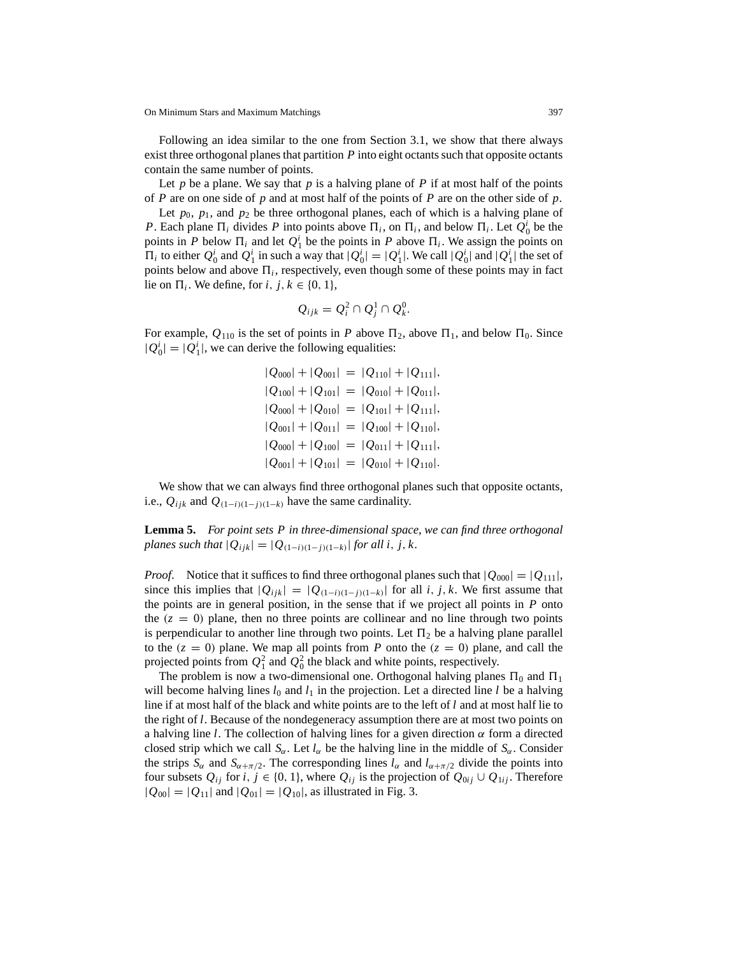Following an idea similar to the one from Section 3.1, we show that there always exist three orthogonal planes that partition *P* into eight octants such that opposite octants contain the same number of points.

Let *p* be a plane. We say that *p* is a halving plane of *P* if at most half of the points of *P* are on one side of *p* and at most half of the points of *P* are on the other side of *p*.

Let  $p_0$ ,  $p_1$ , and  $p_2$  be three orthogonal planes, each of which is a halving plane of *P*. Each plane  $\Pi_i$  divides *P* into points above  $\Pi_i$ , on  $\Pi_i$ , and below  $\Pi_i$ . Let  $Q_0^i$  be the points in *P* below  $\Pi_i$  and let  $Q_1^i$  be the points in *P* above  $\Pi_i$ . We assign the points on  $\Pi_i$  to either  $Q_0^i$  and  $Q_1^i$  in such a way that  $|Q_0^i| = |Q_1^i|$ . We call  $|Q_0^i|$  and  $|Q_1^i|$  the set of points below and above  $\Pi_i$ , respectively, even though some of these points may in fact lie on  $\Pi_i$ . We define, for *i*, *j*,  $k \in \{0, 1\}$ ,

$$
Q_{ijk}=Q_i^2\cap Q_j^1\cap Q_k^0.
$$

For example,  $Q_{110}$  is the set of points in *P* above  $\Pi_2$ , above  $\Pi_1$ , and below  $\Pi_0$ . Since  $|Q_0^i| = |Q_1^i|$ , we can derive the following equalities:

> $|Q_{000}|+|Q_{001}|=|Q_{110}|+|Q_{111}|,$  $|Q_{100}|+|Q_{101}|=|Q_{010}|+|Q_{011}|,$  $|Q_{000}|+|Q_{010}|=|Q_{101}|+|Q_{111}|,$  $|Q_{001}|+|Q_{011}|=|Q_{100}|+|Q_{110}|,$  $|Q_{000}|+|Q_{100}|=|Q_{011}|+|Q_{111}|,$  $|Q_{001}|+|Q_{101}|=|Q_{010}|+|Q_{110}|.$

We show that we can always find three orthogonal planes such that opposite octants, i.e.,  $Q_{ijk}$  and  $Q_{(1-i)(1-j)(1-k)}$  have the same cardinality.

**Lemma 5.** *For point sets P in three-dimensional space*, *we can find three orthogonal planes such that*  $|Q_{ijk}| = |Q_{(1-i)(1-i)(1-k)}|$  *for all i*, *j*, *k*.

*Proof.* Notice that it suffices to find three orthogonal planes such that  $|Q_{000}|=|Q_{111}|$ , since this implies that  $|Q_{ijk}|=|Q_{(1-i)(1-i)(1-k)}|$  for all *i*, *j*, *k*. We first assume that the points are in general position, in the sense that if we project all points in *P* onto the  $(z = 0)$  plane, then no three points are collinear and no line through two points is perpendicular to another line through two points. Let  $\Pi_2$  be a halving plane parallel to the  $(z = 0)$  plane. We map all points from *P* onto the  $(z = 0)$  plane, and call the projected points from  $Q_1^2$  and  $Q_0^2$  the black and white points, respectively.

The problem is now a two-dimensional one. Orthogonal halving planes  $\Pi_0$  and  $\Pi_1$ will become halving lines  $l_0$  and  $l_1$  in the projection. Let a directed line  $l$  be a halving line if at most half of the black and white points are to the left of *l* and at most half lie to the right of *l*. Because of the nondegeneracy assumption there are at most two points on a halving line *l*. The collection of halving lines for a given direction  $\alpha$  form a directed closed strip which we call  $S_\alpha$ . Let  $l_\alpha$  be the halving line in the middle of  $S_\alpha$ . Consider the strips  $S_\alpha$  and  $S_{\alpha+\pi/2}$ . The corresponding lines  $l_\alpha$  and  $l_{\alpha+\pi/2}$  divide the points into four subsets  $Q_{ij}$  for *i*,  $j \in \{0, 1\}$ , where  $Q_{ij}$  is the projection of  $Q_{0ij} \cup Q_{1ij}$ . Therefore  $|Q_{00}| = |Q_{11}|$  and  $|Q_{01}| = |Q_{10}|$ , as illustrated in Fig. 3.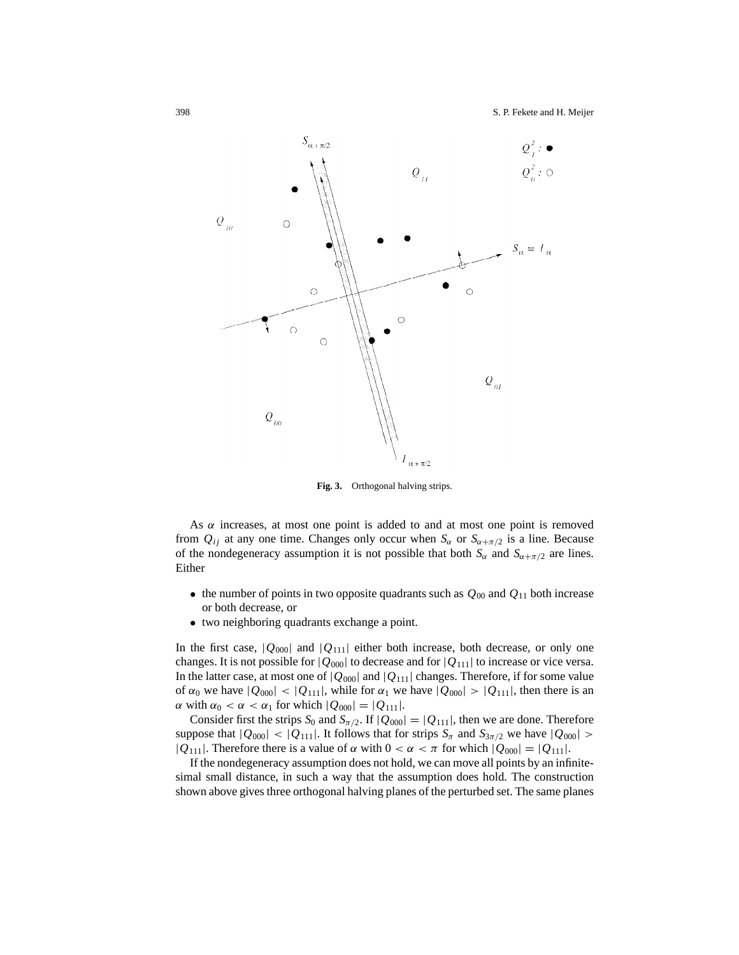

**Fig. 3.** Orthogonal halving strips.

As  $\alpha$  increases, at most one point is added to and at most one point is removed from  $Q_{ij}$  at any one time. Changes only occur when  $S_{\alpha}$  or  $S_{\alpha+\pi/2}$  is a line. Because of the nondegeneracy assumption it is not possible that both  $S_\alpha$  and  $S_{\alpha+\pi/2}$  are lines. Either

- the number of points in two opposite quadrants such as  $Q_{00}$  and  $Q_{11}$  both increase or both decrease, or
- two neighboring quadrants exchange a point.

In the first case,  $|Q_{000}|$  and  $|Q_{111}|$  either both increase, both decrease, or only one changes. It is not possible for  $|Q_{000}|$  to decrease and for  $|Q_{111}|$  to increase or vice versa. In the latter case, at most one of  $|Q_{000}|$  and  $|Q_{111}|$  changes. Therefore, if for some value of  $\alpha_0$  we have  $|Q_{000}| < |Q_{111}|$ , while for  $\alpha_1$  we have  $|Q_{000}| > |Q_{111}|$ , then there is an  $\alpha$  with  $\alpha_0 < \alpha < \alpha_1$  for which  $|Q_{000}| = |Q_{111}|$ .

Consider first the strips  $S_0$  and  $S_{\pi/2}$ . If  $|Q_{000}|=|Q_{111}|$ , then we are done. Therefore suppose that  $|Q_{000}| < |Q_{111}|$ . It follows that for strips  $S_{\pi}$  and  $S_{3\pi/2}$  we have  $|Q_{000}| >$  $|Q_{111}|$ . Therefore there is a value of  $\alpha$  with  $0 < \alpha < \pi$  for which  $|Q_{000}| = |Q_{111}|$ .

If the nondegeneracy assumption does not hold, we can move all points by an infinitesimal small distance, in such a way that the assumption does hold. The construction shown above gives three orthogonal halving planes of the perturbed set. The same planes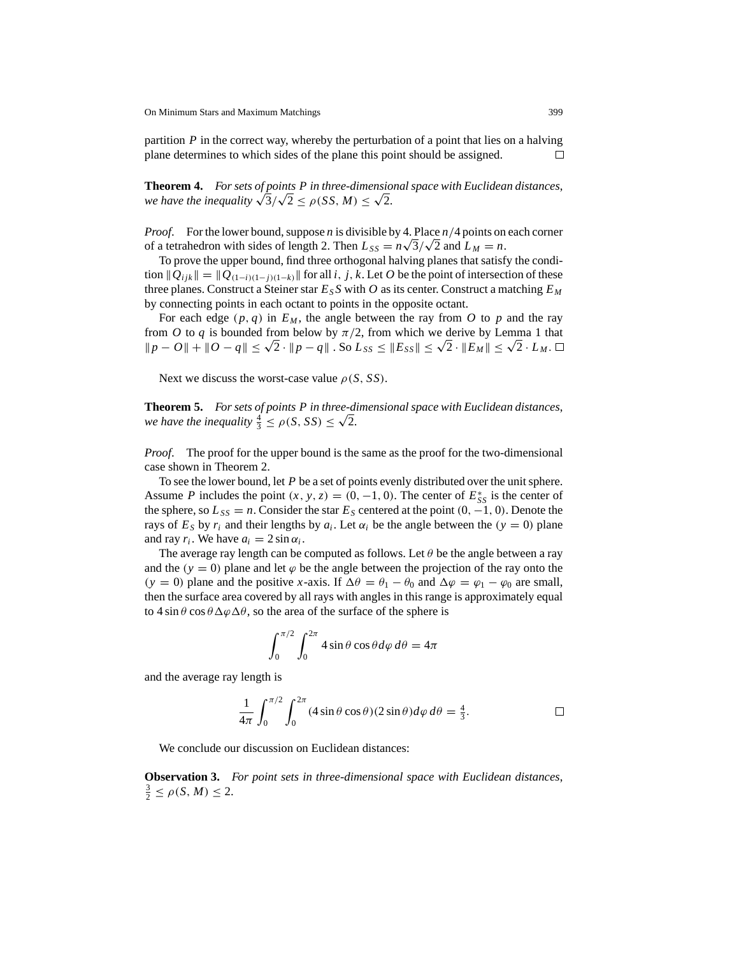partition *P* in the correct way, whereby the perturbation of a point that lies on a halving plane determines to which sides of the plane this point should be assigned. □

**Theorem 4.** *For sets of points P in three-dimensional space with Euclidean distances*, **Theorem 4.** For sets of points P in inree-dimension<br>we have the inequality  $\sqrt{3}/\sqrt{2} \le \rho(SS, M) \le \sqrt{2}$ .

*Proof*. For the lower bound, suppose *n* is divisible by 4. Place *n*/4 points on each corner *Proof.* For the lower bound, suppose *n* is divisible by 4. Place  $n/4$  points on of a tetrahedron with sides of length 2. Then  $L_{SS} = n\sqrt{3}/\sqrt{2}$  and  $L_M = n$ .

To prove the upper bound, find three orthogonal halving planes that satisfy the condition  $\|Q_{ijk}\| = \|Q_{(1-i)(1-i)(1-k)}\|$  for all *i*, *j*, *k*. Let *O* be the point of intersection of these three planes. Construct a Steiner star  $E_S S$  with *O* as its center. Construct a matching  $E_M$ by connecting points in each octant to points in the opposite octant.

For each edge  $(p, q)$  in  $E_M$ , the angle between the ray from O to p and the ray from *O* to *q* is bounded from below by  $\pi/2$ , from which we derive by Lemma 1 that  $||p - O|| + ||O - q|| \leq \sqrt{2} \cdot ||p - q||$ . So  $L_{SS} \leq ||E_{SS}|| \leq \sqrt{2} \cdot ||E_M|| \leq \sqrt{2} \cdot L_M$ . □

Next we discuss the worst-case value  $\rho(S, SS)$ .

**Theorem 5.** *For sets of points P in three-dimensional space with Euclidean distances*, **Theorem 5.** For sets of points P in three-divergheneously  $\frac{4}{3} \leq \rho(S, SS) \leq \sqrt{2}$ .

*Proof*. The proof for the upper bound is the same as the proof for the two-dimensional case shown in Theorem 2.

To see the lower bound, let *P* be a set of points evenly distributed over the unit sphere. Assume *P* includes the point  $(x, y, z) = (0, -1, 0)$ . The center of  $E_{SS}^*$  is the center of the sphere, so  $L_{SS} = n$ . Consider the star  $E_S$  centered at the point  $(0, -1, 0)$ . Denote the rays of  $E_S$  by  $r_i$  and their lengths by  $a_i$ . Let  $\alpha_i$  be the angle between the ( $y = 0$ ) plane and ray  $r_i$ . We have  $a_i = 2 \sin \alpha_i$ .

The average ray length can be computed as follows. Let  $\theta$  be the angle between a ray and the  $(y = 0)$  plane and let  $\varphi$  be the angle between the projection of the ray onto the (*y* = 0) plane and the positive *x*-axis. If  $\Delta\theta = \theta_1 - \theta_0$  and  $\Delta\varphi = \varphi_1 - \varphi_0$  are small, then the surface area covered by all rays with angles in this range is approximately equal to  $4 \sin \theta \cos \theta \Delta \varphi \Delta \theta$ , so the area of the surface of the sphere is

$$
\int_0^{\pi/2} \int_0^{2\pi} 4\sin\theta \cos\theta d\varphi d\theta = 4\pi
$$

and the average ray length is

$$
\frac{1}{4\pi} \int_0^{\pi/2} \int_0^{2\pi} (4\sin\theta\cos\theta)(2\sin\theta)d\varphi d\theta = \frac{4}{3}.
$$

We conclude our discussion on Euclidean distances:

**Observation 3.** *For point sets in three-dimensional space with Euclidean distances*,  $\frac{3}{2} \le \rho(S, M) \le 2.$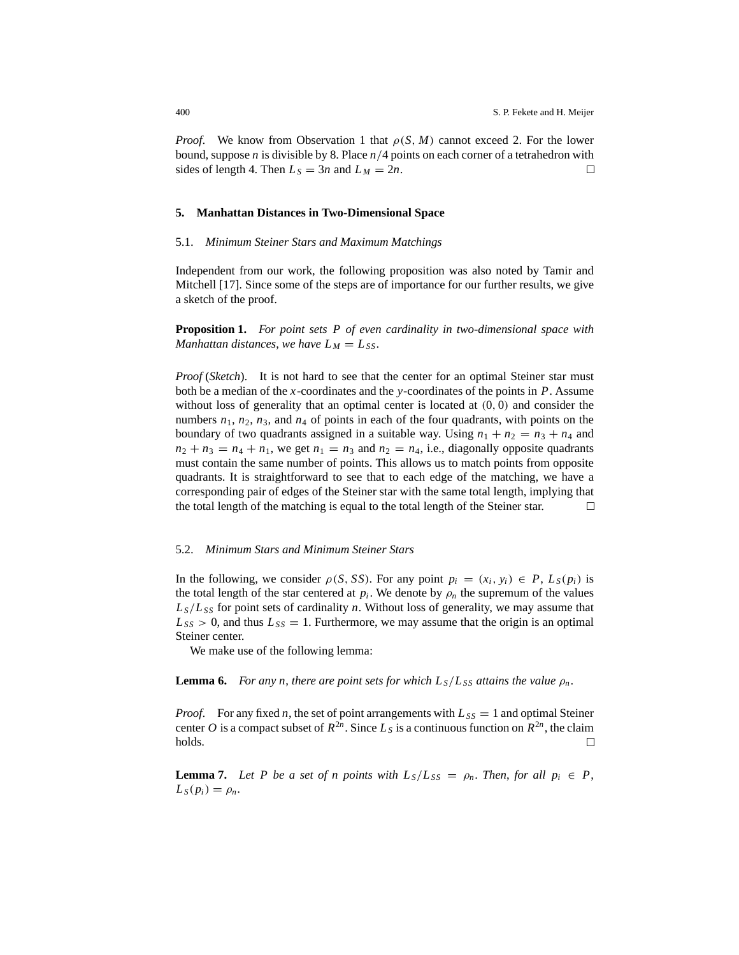*Proof.* We know from Observation 1 that  $\rho(S, M)$  cannot exceed 2. For the lower bound, suppose *n* is divisible by 8. Place *n*/4 points on each corner of a tetrahedron with sides of length 4. Then  $L_S = 3n$  and  $L_M = 2n$ . □

## **5. Manhattan Distances in Two-Dimensional Space**

## 5.1. *Minimum Steiner Stars and Maximum Matchings*

Independent from our work, the following proposition was also noted by Tamir and Mitchell [17]. Since some of the steps are of importance for our further results, we give a sketch of the proof.

**Proposition 1.** *For point sets P of even cardinality in two-dimensional space with Manhattan distances, we have*  $L_M = L_{SS}$ .

*Proof* (*Sketch*). It is not hard to see that the center for an optimal Steiner star must both be a median of the *x*-coordinates and the *y*-coordinates of the points in *P*. Assume without loss of generality that an optimal center is located at  $(0, 0)$  and consider the numbers  $n_1$ ,  $n_2$ ,  $n_3$ , and  $n_4$  of points in each of the four quadrants, with points on the boundary of two quadrants assigned in a suitable way. Using  $n_1 + n_2 = n_3 + n_4$  and  $n_2 + n_3 = n_4 + n_1$ , we get  $n_1 = n_3$  and  $n_2 = n_4$ , i.e., diagonally opposite quadrants must contain the same number of points. This allows us to match points from opposite quadrants. It is straightforward to see that to each edge of the matching, we have a corresponding pair of edges of the Steiner star with the same total length, implying that the total length of the matching is equal to the total length of the Steiner star. □

## 5.2. *Minimum Stars and Minimum Steiner Stars*

In the following, we consider  $\rho(S, SS)$ . For any point  $p_i = (x_i, y_i) \in P$ ,  $L_S(p_i)$  is the total length of the star centered at  $p_i$ . We denote by  $\rho_n$  the supremum of the values  $L<sub>S</sub>/L<sub>SS</sub>$  for point sets of cardinality *n*. Without loss of generality, we may assume that  $L_{SS} > 0$ , and thus  $L_{SS} = 1$ . Furthermore, we may assume that the origin is an optimal Steiner center.

We make use of the following lemma:

**Lemma 6.** *For any n, there are point sets for which*  $L_s/L_{ss}$  *attains the value*  $\rho_n$ *.* 

*Proof.* For any fixed *n*, the set of point arrangements with  $L_{SS} = 1$  and optimal Steiner center *O* is a compact subset of  $R^{2n}$ . Since  $L_S$  is a continuous function on  $R^{2n}$ , the claim holds. □

**Lemma 7.** Let P be a set of n points with  $L_S/L_{SS} = \rho_n$ . Then, for all  $p_i \in P$ ,  $L_S(p_i) = \rho_n$ .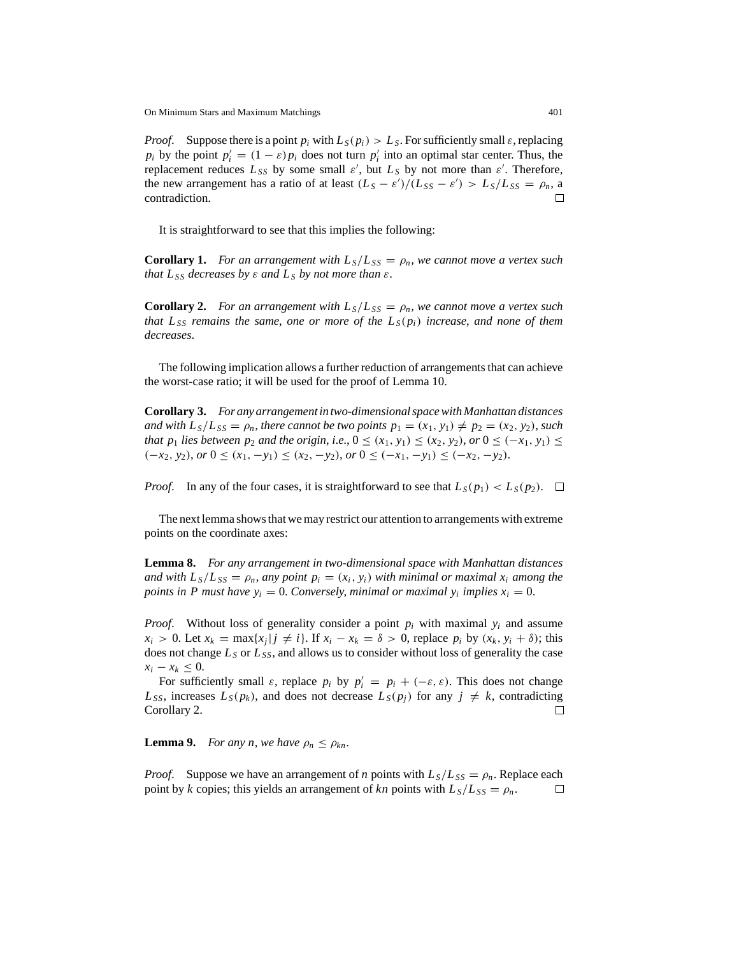*Proof.* Suppose there is a point  $p_i$  with  $L_S(p_i) > L_S$ . For sufficiently small  $\varepsilon$ , replacing *p<sub>i</sub>* by the point  $p'_i = (1 - \varepsilon)p_i$  does not turn  $p'_i$  into an optimal star center. Thus, the replacement reduces  $L_{SS}$  by some small  $\varepsilon'$ , but  $L_S$  by not more than  $\varepsilon'$ . Therefore, the new arrangement has a ratio of at least  $(L_S - \varepsilon')/(L_{SS} - \varepsilon') > L_S/L_{SS} = \rho_n$ , a contradiction. □

It is straightforward to see that this implies the following:

**Corollary 1.** *For an arrangement with*  $L_S/L_{SS} = \rho_n$ , we cannot move a vertex such *that*  $L_{SS}$  *decreases by*  $\varepsilon$  *and*  $L_S$  *by not more than*  $\varepsilon$ *.* 

**Corollary 2.** *For an arrangement with*  $L_S/L_{SS} = \rho_n$ , we cannot move a vertex such *that*  $L_{SS}$  *remains the same, one or more of the*  $L_S(p_i)$  *increase, and none of them decreases*.

The following implication allows a further reduction of arrangements that can achieve the worst-case ratio; it will be used for the proof of Lemma 10.

**Corollary 3.** *For any arrangement in two-dimensional space with Manhattan distances and with*  $L_s/L_{ss} = \rho_n$ , *there cannot be two points*  $p_1 = (x_1, y_1) \neq p_2 = (x_2, y_2)$ , *such that p*<sub>1</sub> *lies between p*<sub>2</sub> *and the origin, i.e.,*  $0 \leq (x_1, y_1) \leq (x_2, y_2)$ ,  $or$   $0 \leq (-x_1, y_1) \leq$  $(-x_2, y_2)$ , *or*  $0 \le (x_1, -y_1) \le (x_2, -y_2)$ , *or*  $0 \le (-x_1, -y_1) \le (-x_2, -y_2)$ .

*Proof.* In any of the four cases, it is straightforward to see that  $L_S(p_1) < L_S(p_2)$ .  $\Box$ 

The next lemma shows that we may restrict our attention to arrangements with extreme points on the coordinate axes:

**Lemma 8.** *For any arrangement in two-dimensional space with Manhattan distances and with*  $L_s/L_{SS} = \rho_n$ , *any point*  $p_i = (x_i, y_i)$  *with minimal or maximal x<sub>i</sub> among the points in P must have*  $y_i = 0$ *. Conversely, minimal or maximal*  $y_i$  *implies*  $x_i = 0$ *.* 

*Proof.* Without loss of generality consider a point  $p_i$  with maximal  $y_i$  and assume  $x_i > 0$ . Let  $x_k = \max\{x_i | j \neq i\}$ . If  $x_i - x_k = \delta > 0$ , replace  $p_i$  by  $(x_k, y_i + \delta)$ ; this does not change  $L_S$  or  $L_{SS}$ , and allows us to consider without loss of generality the case *x<sub>i</sub>* − *x<sub>k</sub>* ≤ 0.

For sufficiently small  $\varepsilon$ , replace  $p_i$  by  $p'_i = p_i + (-\varepsilon, \varepsilon)$ . This does not change  $L_{SS}$ , increases  $L_S(p_k)$ , and does not decrease  $L_S(p_j)$  for any  $j \neq k$ , contradicting Corollary 2. □

**Lemma 9.** *For any n, we have*  $\rho_n \leq \rho_{kn}$ .

*Proof.* Suppose we have an arrangement of *n* points with  $L_s/L_{SS} = \rho_n$ . Replace each point by *k* copies; this yields an arrangement of *kn* points with  $L_S/L_{SS} = \rho_n$ .  $\Box$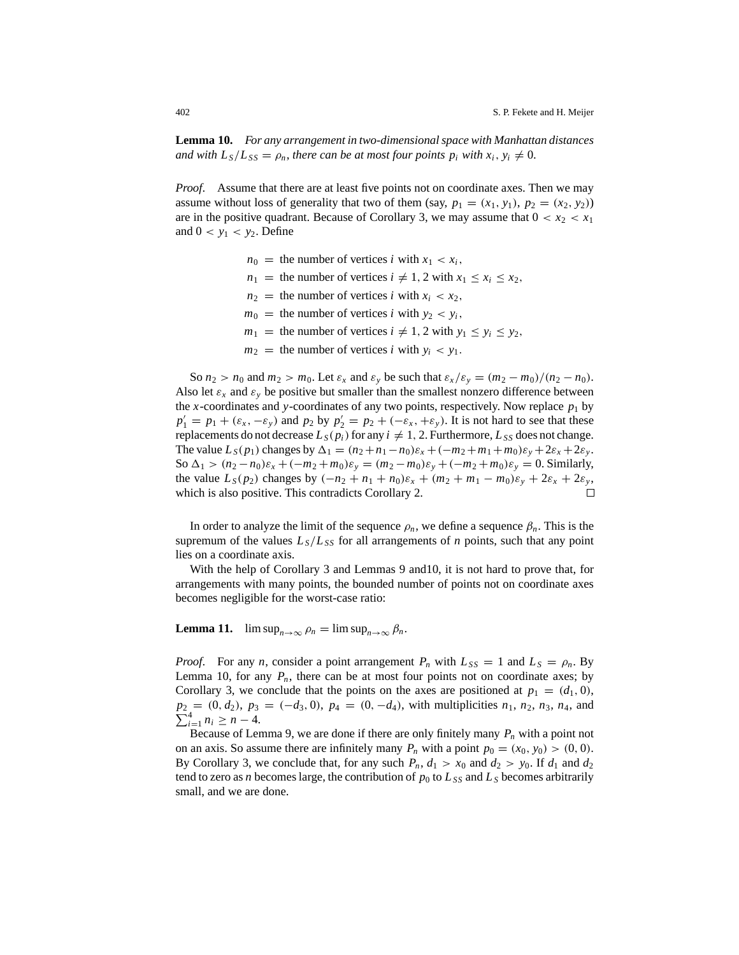**Lemma 10.** *For any arrangement in two-dimensional space with Manhattan distances and with*  $L_s/L_{SS} = \rho_n$ , *there can be at most four points*  $p_i$  *with*  $x_i, y_i \neq 0$ .

*Proof.* Assume that there are at least five points not on coordinate axes. Then we may assume without loss of generality that two of them (say,  $p_1 = (x_1, y_1), p_2 = (x_2, y_2)$ ) are in the positive quadrant. Because of Corollary 3, we may assume that  $0 < x_2 < x_1$ and  $0 < y_1 < y_2$ . Define

> $n_0$  = the number of vertices *i* with  $x_1 < x_i$ ,  $n_1$  = the number of vertices  $i \neq 1, 2$  with  $x_1 \leq x_i \leq x_2$ ,  $n_2$  = the number of vertices *i* with  $x_i < x_2$ ,  $m_0$  = the number of vertices *i* with  $y_2 < y_i$ ,  $m_1$  = the number of vertices  $i \neq 1, 2$  with  $y_1 \leq y_i \leq y_2$ ,  $m_2$  = the number of vertices *i* with  $y_i$  <  $y_1$ .

So  $n_2 > n_0$  and  $m_2 > m_0$ . Let  $\varepsilon_x$  and  $\varepsilon_y$  be such that  $\varepsilon_x/\varepsilon_y = (m_2 - m_0)/(n_2 - n_0)$ . Also let  $\varepsilon_x$  and  $\varepsilon_y$  be positive but smaller than the smallest nonzero difference between the *x*-coordinates and *y*-coordinates of any two points, respectively. Now replace  $p_1$  by  $p_1' = p_1 + (\varepsilon_x, -\varepsilon_y)$  and  $p_2$  by  $p_2' = p_2 + (-\varepsilon_x, +\varepsilon_y)$ . It is not hard to see that these replacements do not decrease  $L_S(p_i)$  for any  $i \neq 1, 2$ . Furthermore,  $L_{SS}$  does not change. The value  $L_S(p_1)$  changes by  $\Delta_1 = (n_2 + n_1 - n_0)\varepsilon_x + (-m_2 + m_1 + m_0)\varepsilon_y + 2\varepsilon_x + 2\varepsilon_y$ . So  $\Delta_1 > (n_2 - n_0)\varepsilon_x + (-m_2 + m_0)\varepsilon_y = (m_2 - m_0)\varepsilon_y + (-m_2 + m_0)\varepsilon_y = 0$ . Similarly, the value  $L_S(p_2)$  changes by  $(-n_2 + n_1 + n_0)\varepsilon_x + (m_2 + m_1 - m_0)\varepsilon_y + 2\varepsilon_x + 2\varepsilon_y$ , which is also positive. This contradicts Corollary 2. П

In order to analyze the limit of the sequence  $\rho_n$ , we define a sequence  $\beta_n$ . This is the supremum of the values  $L<sub>S</sub>/L<sub>SS</sub>$  for all arrangements of *n* points, such that any point lies on a coordinate axis.

With the help of Corollary 3 and Lemmas 9 and10, it is not hard to prove that, for arrangements with many points, the bounded number of points not on coordinate axes becomes negligible for the worst-case ratio:

**Lemma 11.**  $\limsup_{n\to\infty} \rho_n = \limsup_{n\to\infty} \beta_n$ .

*Proof.* For any *n*, consider a point arrangement  $P_n$  with  $L_{SS} = 1$  and  $L_S = \rho_n$ . By Lemma 10, for any  $P_n$ , there can be at most four points not on coordinate axes; by Corollary 3, we conclude that the points on the axes are positioned at  $p_1 = (d_1, 0)$ ,  $\sum_{i=1}^{4} n_i \geq n-4.$  $p_2 = (0, d_2), p_3 = (-d_3, 0), p_4 = (0, -d_4)$ , with multiplicities  $n_1, n_2, n_3, n_4$ , and

Because of Lemma 9, we are done if there are only finitely many  $P_n$  with a point not on an axis. So assume there are infinitely many  $P_n$  with a point  $p_0 = (x_0, y_0) > (0, 0)$ . By Corollary 3, we conclude that, for any such  $P_n$ ,  $d_1 > x_0$  and  $d_2 > y_0$ . If  $d_1$  and  $d_2$ tend to zero as *n* becomes large, the contribution of  $p_0$  to  $L_{SS}$  and  $L_S$  becomes arbitrarily small, and we are done.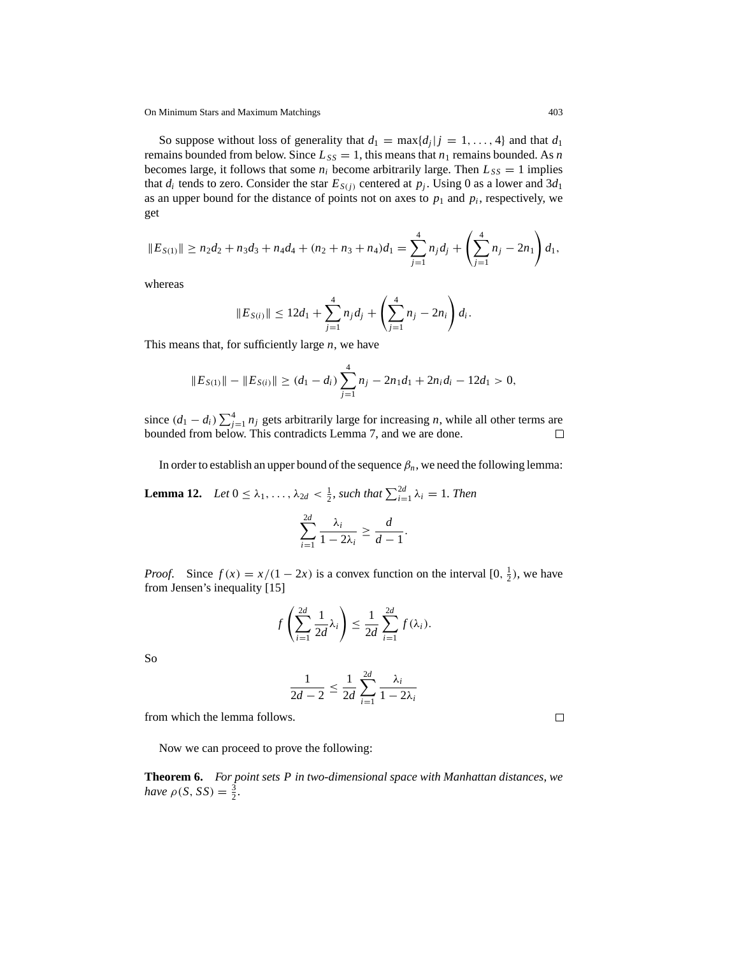On Minimum Stars and Maximum Matchings 403

So suppose without loss of generality that  $d_1 = \max\{d_j | j = 1, \ldots, 4\}$  and that  $d_1$ remains bounded from below. Since  $L_{SS} = 1$ , this means that  $n_1$  remains bounded. As *n* becomes large, it follows that some  $n_i$  become arbitrarily large. Then  $L_{SS} = 1$  implies that  $d_i$  tends to zero. Consider the star  $E_{S(i)}$  centered at  $p_i$ . Using 0 as a lower and  $3d_1$ as an upper bound for the distance of points not on axes to  $p_1$  and  $p_i$ , respectively, we get

$$
||E_{S(1)}|| \ge n_2d_2 + n_3d_3 + n_4d_4 + (n_2 + n_3 + n_4)d_1 = \sum_{j=1}^4 n_jd_j + \left(\sum_{j=1}^4 n_j - 2n_1\right)d_1,
$$

whereas

$$
||E_{S(i)}|| \leq 12d_1 + \sum_{j=1}^4 n_j d_j + \left(\sum_{j=1}^4 n_j - 2n_i\right) d_i.
$$

This means that, for sufficiently large *n*, we have

$$
||E_{S(1)}|| - ||E_{S(i)}|| \ge (d_1 - d_i) \sum_{j=1}^{4} n_j - 2n_1d_1 + 2n_id_i - 12d_1 > 0,
$$

since  $(d_1 - d_i) \sum_{j=1}^4 n_j$  gets arbitrarily large for increasing *n*, while all other terms are bounded from below. This contradicts Lemma 7, and we are done.

In order to establish an upper bound of the sequence  $\beta_n$ , we need the following lemma:

**Lemma 12.** *Let*  $0 \le \lambda_1, \ldots, \lambda_{2d} < \frac{1}{2}$ , such that  $\sum_{i=1}^{2d} \lambda_i = 1$ . *Then* 

$$
\sum_{i=1}^{2d} \frac{\lambda_i}{1-2\lambda_i} \ge \frac{d}{d-1}.
$$

*Proof.* Since  $f(x) = x/(1 - 2x)$  is a convex function on the interval  $[0, \frac{1}{2})$ , we have from Jensen's inequality [15]

$$
f\left(\sum_{i=1}^{2d}\frac{1}{2d}\lambda_i\right)\leq \frac{1}{2d}\sum_{i=1}^{2d}f(\lambda_i).
$$

So

$$
\frac{1}{2d-2} \le \frac{1}{2d} \sum_{i=1}^{2d} \frac{\lambda_i}{1-2\lambda_i}
$$

from which the lemma follows.

Now we can proceed to prove the following:

**Theorem 6.** *For point sets P in two-dimensional space with Manhattan distances*, *we have*  $\rho(S, SS) = \frac{3}{2}$ .

 $\Box$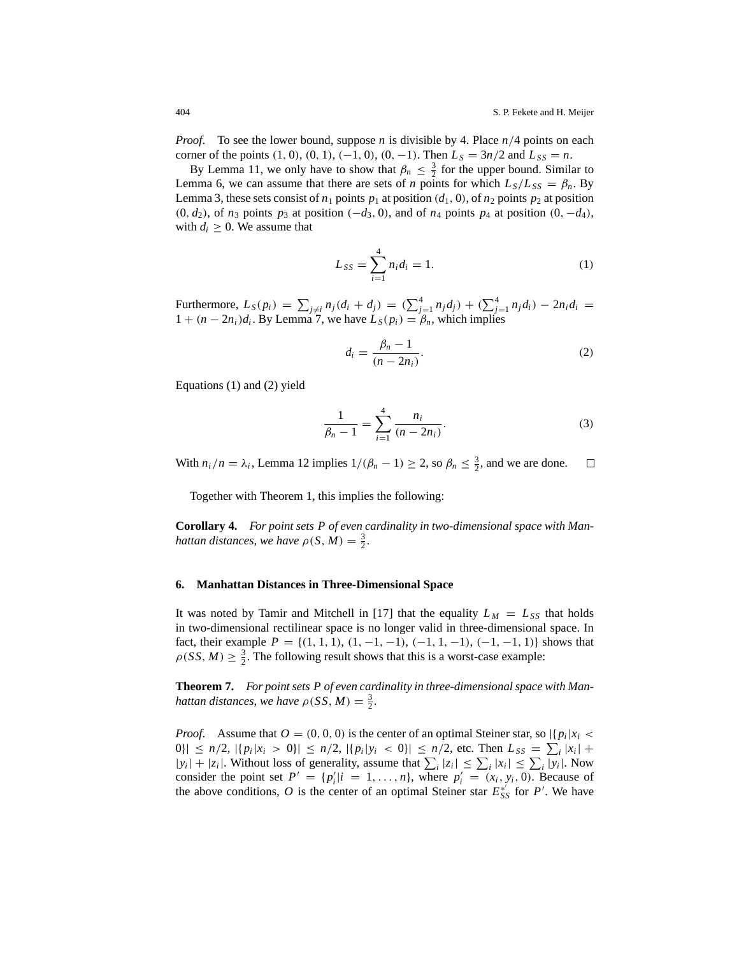*Proof*. To see the lower bound, suppose *n* is divisible by 4. Place *n*/4 points on each corner of the points  $(1, 0), (0, 1), (-1, 0), (0, -1)$ . Then  $L_s = 3n/2$  and  $L_{ss} = n$ .

By Lemma 11, we only have to show that  $\beta_n \leq \frac{3}{2}$  for the upper bound. Similar to Lemma 6, we can assume that there are sets of *n* points for which  $L_s/L_{SS} = \beta_n$ . By Lemma 3, these sets consist of  $n_1$  points  $p_1$  at position  $(d_1, 0)$ , of  $n_2$  points  $p_2$  at position  $(0, d_2)$ , of  $n_3$  points  $p_3$  at position  $(-d_3, 0)$ , and of  $n_4$  points  $p_4$  at position  $(0, -d_4)$ , with  $d_i \geq 0$ . We assume that

$$
L_{SS} = \sum_{i=1}^{4} n_i d_i = 1.
$$
 (1)

Furthermore,  $L_S(p_i) = \sum_{j \neq i} n_j(d_i + d_j) = (\sum_{j=1}^4 n_jd_j) + (\sum_{j=1}^4 n_jd_i) - 2n_id_i$  $1 + (n - 2n_i)d_i$ . By Lemma 7, we have  $L_S(p_i) = \beta_n$ , which implies

$$
d_i = \frac{\beta_n - 1}{(n - 2n_i)}.\tag{2}
$$

Equations (1) and (2) yield

$$
\frac{1}{\beta_n - 1} = \sum_{i=1}^{4} \frac{n_i}{(n - 2n_i)}.
$$
 (3)

With  $n_i/n = \lambda_i$ , Lemma 12 implies  $1/(\beta_n - 1) \ge 2$ , so  $\beta_n \le \frac{3}{2}$ , and we are done. □

Together with Theorem 1, this implies the following:

**Corollary 4.** *For point sets P of even cardinality in two-dimensional space with Manhattan distances, we have*  $\rho(S, M) = \frac{3}{2}$ .

# **6. Manhattan Distances in Three-Dimensional Space**

It was noted by Tamir and Mitchell in [17] that the equality  $L_M = L_{SS}$  that holds in two-dimensional rectilinear space is no longer valid in three-dimensional space. In fact, their example  $P = \{(1, 1, 1), (1, -1, -1), (-1, 1, -1), (-1, -1, 1)\}$  shows that  $\rho(SS, M) \geq \frac{3}{2}$ . The following result shows that this is a worst-case example:

**Theorem 7.** *For point sets P of even cardinality in three-dimensional space with Manhattan distances, we have*  $\rho(SS, M) = \frac{3}{2}$ .

*Proof.* Assume that  $O = (0, 0, 0)$  is the center of an optimal Steiner star, so  $\left| \{p_i | x_i \leq \theta_i\} \right|$  $|0\rangle| \le n/2, |\{p_i|x_i > 0\}| \le n/2, |\{p_i|y_i < 0\}| \le n/2$ , etc. Then  $L_{SS} = \sum_i |x_i| + C_i$  $|y_i| + |z_i|$ . Without loss of generality, assume that  $\sum_i |z_i| \leq \sum_i |x_i| \leq \sum_i |y_i|$ . Now consider the point set  $P' = \{p'_i | i = 1, ..., n\}$ , where  $p'_i = (x_i, y_i, 0)$ . Because of the above conditions, *O* is the center of an optimal Steiner star  $E_{SS}^{*'}$  for *P'*. We have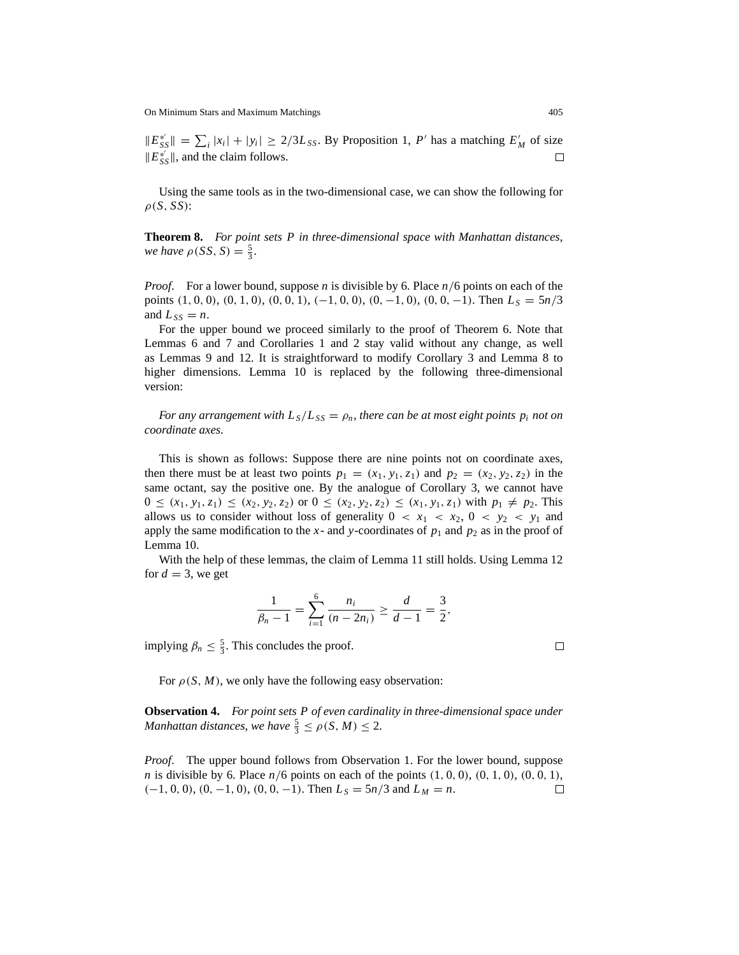$||E_{SS}^{*}|| = \sum_{i} |x_i| + |y_i| \ge 2/3L_{SS}$ . By Proposition 1, *P'* has a matching  $E_M'$  of size  $||E_{SS}^{*'}||$ , and the claim follows.  $\Box$ 

Using the same tools as in the two-dimensional case, we can show the following for  $\rho(S, SS)$ :

**Theorem 8.** *For point sets P in three-dimensional space with Manhattan distances*, *we have*  $\rho(SS, S) = \frac{5}{3}$ .

*Proof*. For a lower bound, suppose *n* is divisible by 6. Place *n*/6 points on each of the points  $(1, 0, 0)$ ,  $(0, 1, 0)$ ,  $(0, 0, 1)$ ,  $(-1, 0, 0)$ ,  $(0, -1, 0)$ ,  $(0, 0, -1)$ . Then  $L_s = 5n/3$ and  $L_{SS} = n$ .

For the upper bound we proceed similarly to the proof of Theorem 6. Note that Lemmas 6 and 7 and Corollaries 1 and 2 stay valid without any change, as well as Lemmas 9 and 12. It is straightforward to modify Corollary 3 and Lemma 8 to higher dimensions. Lemma 10 is replaced by the following three-dimensional version:

*For any arrangement with*  $L_s/L_{ss} = \rho_n$ , *there can be at most eight points*  $p_i$  *not on coordinate axes*.

This is shown as follows: Suppose there are nine points not on coordinate axes, then there must be at least two points  $p_1 = (x_1, y_1, z_1)$  and  $p_2 = (x_2, y_2, z_2)$  in the same octant, say the positive one. By the analogue of Corollary 3, we cannot have  $0 \leq (x_1, y_1, z_1) \leq (x_2, y_2, z_2) \text{ or } 0 \leq (x_2, y_2, z_2) \leq (x_1, y_1, z_1) \text{ with } p_1 \neq p_2.$  This allows us to consider without loss of generality  $0 < x_1 < x_2$ ,  $0 < y_2 < y_1$  and apply the same modification to the  $x$ - and  $y$ -coordinates of  $p_1$  and  $p_2$  as in the proof of Lemma 10.

With the help of these lemmas, the claim of Lemma 11 still holds. Using Lemma 12 for  $d = 3$ , we get

$$
\frac{1}{\beta_n-1}=\sum_{i=1}^6\frac{n_i}{(n-2n_i)}\geq\frac{d}{d-1}=\frac{3}{2},
$$

implying  $\beta_n \leq \frac{5}{3}$ . This concludes the proof.

For  $\rho(S, M)$ , we only have the following easy observation:

**Observation 4.** *For point sets P of even cardinality in three-dimensional space under Manhattan distances, we have*  $\frac{5}{3} \le \rho(S, M) \le 2$ .

*Proof*. The upper bound follows from Observation 1. For the lower bound, suppose *n* is divisible by 6. Place  $n/6$  points on each of the points  $(1, 0, 0), (0, 1, 0), (0, 0, 1)$ ,  $(-1, 0, 0), (0, -1, 0), (0, 0, -1)$ . Then  $L_s = 5n/3$  and  $L_M = n$ .  $\Box$ 

 $\Box$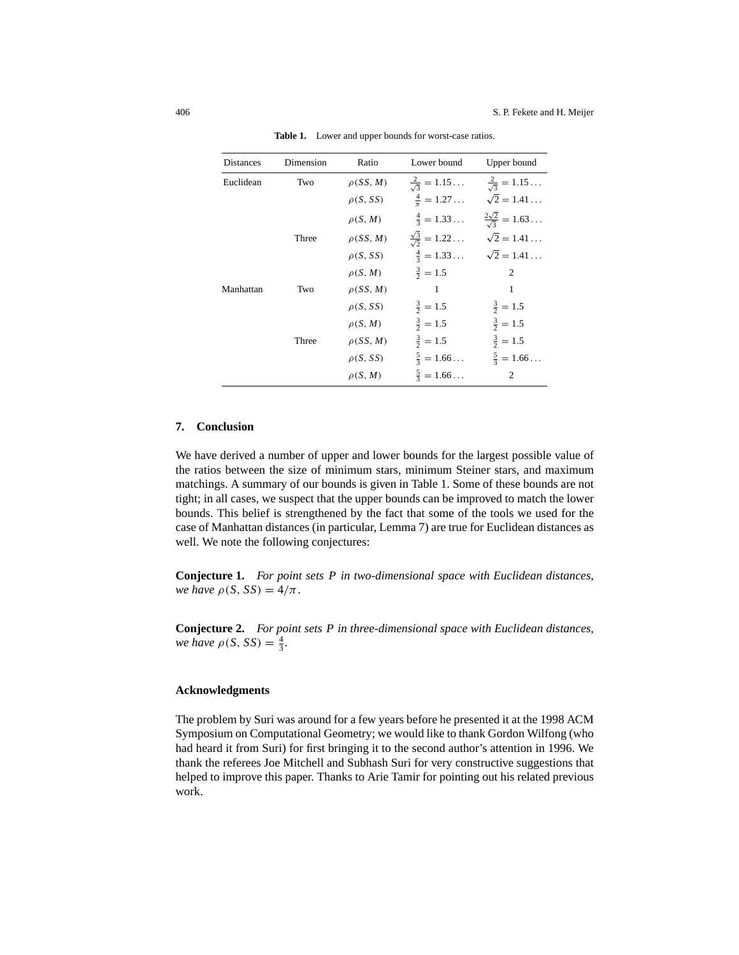| <b>Distances</b> | Dimension | Ratio          | Lower bound                        | Upper bound                         |
|------------------|-----------|----------------|------------------------------------|-------------------------------------|
| Euclidean        | Two       | $\rho$ (SS, M) | $\frac{2}{\sqrt{2}} = 1.15$        | $\frac{2}{\sqrt{3}} = 1.15$         |
|                  |           | $\rho(S,SS)$   | $\frac{4}{\pi} = 1.27$             | $\sqrt{2} = 1.41$                   |
|                  |           | $\rho(S, M)$   | $\frac{4}{3} = 1.33$               | $\frac{2\sqrt{2}}{\sqrt{3}} = 1.63$ |
|                  | Three     | $\rho$ (SS, M) | $\frac{\sqrt{3}}{\sqrt{2}} = 1.22$ | $\sqrt{2} = 1.41 \ldots$            |
|                  |           | $\rho(S,SS)$   | $\frac{4}{3} = 1.33$               | $\sqrt{2} = 1.41$                   |
|                  |           | $\rho(S, M)$   | $\frac{3}{2} = 1.5$                | 2                                   |
| Manhattan        | Two       | $\rho$ (SS, M) | 1                                  | 1                                   |
|                  |           | $\rho(S, SS)$  | $\frac{3}{2} = 1.5$                | $\frac{3}{2} = 1.5$                 |
|                  |           | $\rho(S, M)$   | $\frac{3}{2} = 1.5$                | $\frac{3}{2} = 1.5$                 |
|                  | Three     | $\rho$ (SS, M) | $\frac{3}{2} = 1.5$                | $\frac{3}{2} = 1.5$                 |
|                  |           | $\rho(S,SS)$   | $\frac{5}{3} = 1.66$               | $\frac{5}{3} = 1.66$                |
|                  |           | $\rho(S, M)$   | $\frac{5}{3} = 1.66$               | 2                                   |

**Table 1.** Lower and upper bounds for worst-case ratios.

## **7. Conclusion**

We have derived a number of upper and lower bounds for the largest possible value of the ratios between the size of minimum stars, minimum Steiner stars, and maximum matchings. A summary of our bounds is given in Table 1. Some of these bounds are not tight; in all cases, we suspect that the upper bounds can be improved to match the lower bounds. This belief is strengthened by the fact that some of the tools we used for the case of Manhattan distances (in particular, Lemma 7) are true for Euclidean distances as well. We note the following conjectures:

**Conjecture 1.** *For point sets P in two-dimensional space with Euclidean distances*, *we have*  $\rho(S, SS) = 4/\pi$ .

**Conjecture 2.** *For point sets P in three-dimensional space with Euclidean distances*, *we have*  $\rho(S, SS) = \frac{4}{3}$ .

## **Acknowledgments**

The problem by Suri was around for a few years before he presented it at the 1998 ACM Symposium on Computational Geometry; we would like to thank Gordon Wilfong (who had heard it from Suri) for first bringing it to the second author's attention in 1996. We thank the referees Joe Mitchell and Subhash Suri for very constructive suggestions that helped to improve this paper. Thanks to Arie Tamir for pointing out his related previous work.